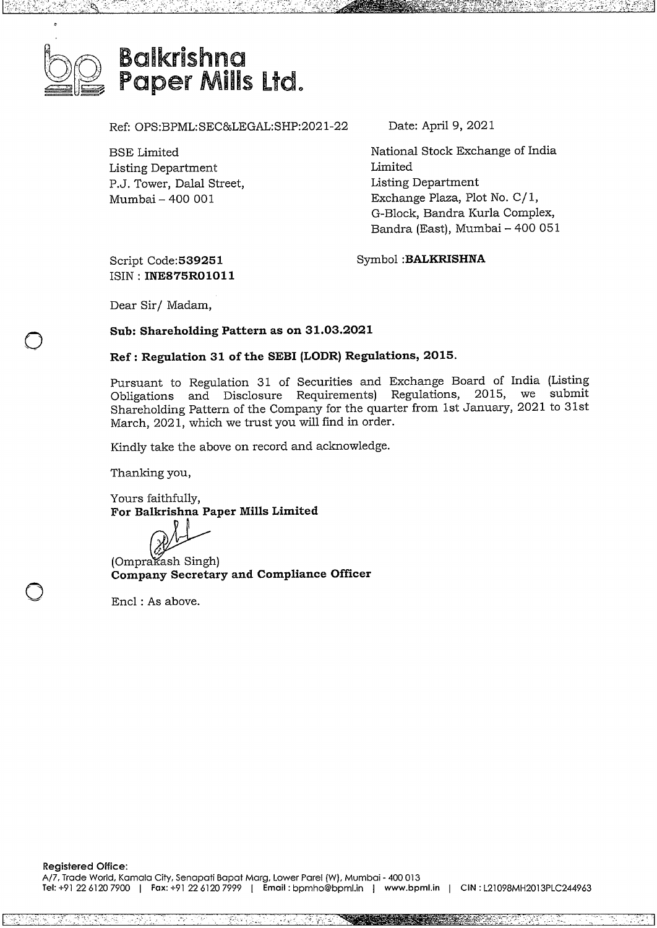

Ref: OPS:BPML:SEC&LEGAL:SHP:2021-22

BSE Limited Listing Department P.J. Tower, Dalal Street, Mumbai - 400 001

Date: April 9, 2021

National Stock Exchange of India Limited Listing Department Exchange Plaza, Plot No. C/1, G-Block, Bandra Kurla Complex, G-Block, Bandra Kurla Complex,<br>Bandra (East), Mumbai – 400 051

1

Script **Code:539251** ISIN : **INE875R01011** Symbol **:BALKRISHNA**

Dear Sir/ Madam,

 $\bigcirc$ 

o

#### **Sub: Shareholding Pattern as on 31.03.2021**

#### **Ref: Regulation 31 of the SEBI (LODR) Regulations, 2015.**

Pursuant to Regulation <sup>31</sup> of Securities and Exchange Board of India (Listing Obligations and Disclosure Requirements) Regulations, 2015, we submit Shareholding Pattern of the Company for the quarter from 1st January, <sup>2021</sup> to 31st March, 2021, which we trust you will find in order.

Kindly take the above on record and acknowledge.

Thanking you,

Yours faithfully, **For Balkrishna Paper Mills Limited** Yours faithfully,<br>**For Balkrishna Pap<br>(Omprakash Singh)<br><b>Company Secretar** 

**Company Secretary and Compliance Officer**

Encl : As above.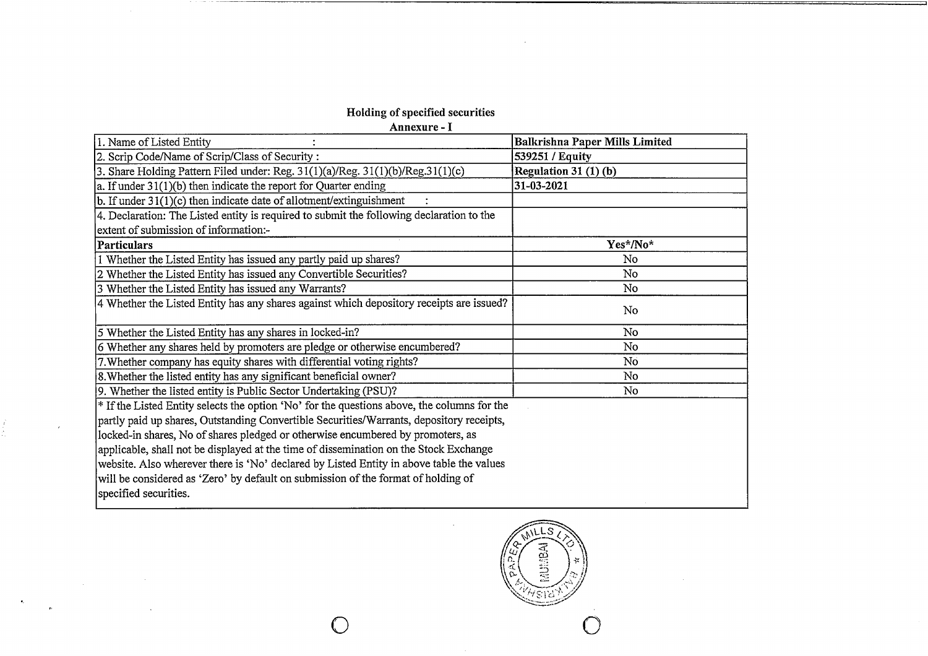# **Holding** of**specified securities**

 $\langle \bullet \rangle$ 

 $\hat{\mathbf{r}}$ 

 $\sim 100$ 

 $\label{eq:2.1} \frac{1}{\sqrt{2\pi}}\int_{\mathbb{R}^3}\frac{1}{\sqrt{2\pi}}\int_{\mathbb{R}^3}\frac{1}{\sqrt{2\pi}}\int_{\mathbb{R}^3}\frac{1}{\sqrt{2\pi}}\frac{1}{\sqrt{2\pi}}\frac{1}{\sqrt{2\pi}}\frac{1}{\sqrt{2\pi}}\frac{1}{\sqrt{2\pi}}\frac{1}{\sqrt{2\pi}}\frac{1}{\sqrt{2\pi}}\frac{1}{\sqrt{2\pi}}\frac{1}{\sqrt{2\pi}}\frac{1}{\sqrt{2\pi}}\frac{1}{\sqrt{2\pi}}\frac{1}{\sqrt{2\$ 

| moning or specified securities                                                                         |                                |
|--------------------------------------------------------------------------------------------------------|--------------------------------|
| Annexure - I                                                                                           |                                |
| 1. Name of Listed Entity                                                                               | Balkrishna Paper Mills Limited |
| 2. Scrip Code/Name of Scrip/Class of Security :                                                        | 539251 / Equity                |
| 3. Share Holding Pattern Filed under: Reg. 31(1)(a)/Reg. 31(1)(b)/Reg.31(1)(c)                         | Regulation 31 $(1)(b)$         |
| a. If under $31(1)(b)$ then indicate the report for Quarter ending                                     | 31-03-2021                     |
| b. If under $31(1)(c)$ then indicate date of allotment/extinguishment                                  |                                |
| 4. Declaration: The Listed entity is required to submit the following declaration to the               |                                |
| extent of submission of information:-                                                                  |                                |
| <b>Particulars</b>                                                                                     | Yes*/No*                       |
| 1 Whether the Listed Entity has issued any partly paid up shares?                                      | No                             |
| 2 Whether the Listed Entity has issued any Convertible Securities?                                     | <b>No</b>                      |
| 3 Whether the Listed Entity has issued any Warrants?                                                   | No                             |
| 4 Whether the Listed Entity has any shares against which depository receipts are issued?               | No                             |
| 5 Whether the Listed Entity has any shares in locked-in?                                               | No                             |
| 6 Whether any shares held by promoters are pledge or otherwise encumbered?                             | No                             |
| 7. Whether company has equity shares with differential voting rights?                                  | No                             |
| 8. Whether the listed entity has any significant beneficial owner?                                     | No                             |
| 9. Whether the listed entity is Public Sector Undertaking (PSU)?                                       | No                             |
| <sup>*</sup> If the Listed Entity selects the option 'No' for the questions above, the columns for the |                                |
| partly paid up shares, Outstanding Convertible Securities/Warrants, depository receipts,               |                                |
| locked-in shares, No of shares pledged or otherwise encumbered by promoters, as                        |                                |
| applicable, shall not be displayed at the time of dissemination on the Stock Exchange                  |                                |
| website. Also wherever there is 'No' declared by Listed Entity in above table the values               |                                |
| will be considered as 'Zero' by default on submission of the format of holding of                      |                                |
| specified securities.                                                                                  |                                |

**AUMBA** 삯 0 0

 $\sim$ 

 $\sim$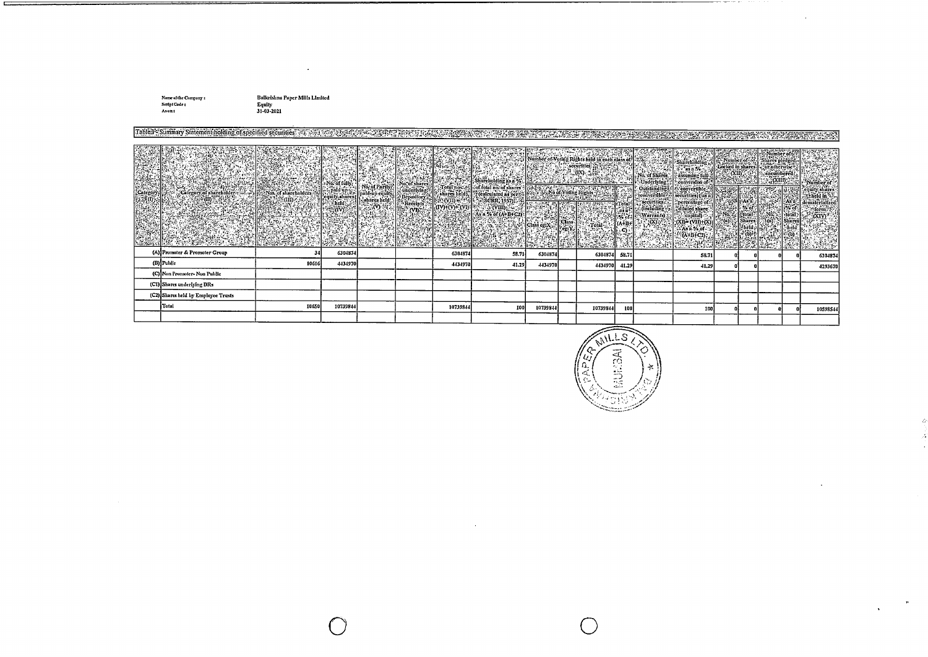Name of the Company :<br>Script Code :<br>As on :

 $\equiv$ 

Balkrishna Paper Mills Llmited<br>Equity<br>31-03-2021

 $\cdot$ 

| Table 1- Summary Statement holding of specified securities |       |          |  |          | MAI SANISMAN AN AN SEART TURING IN FRANCISCO MARCINE DE LE POLITINA DE PROPINCI DI STRIBUTO (CONS |          |          |       |       |                                |  |          |
|------------------------------------------------------------|-------|----------|--|----------|---------------------------------------------------------------------------------------------------|----------|----------|-------|-------|--------------------------------|--|----------|
|                                                            |       |          |  |          |                                                                                                   |          |          |       |       |                                |  |          |
| (A) Promoter & Promoter Group                              | 34    |          |  |          |                                                                                                   |          |          |       |       | $\mathbb{R}^1$ No $\mathbb{R}$ |  |          |
|                                                            |       | 6304874  |  | 6304874  | 53.71                                                                                             | 6304874  | 6304874  | 58.71 | 58.71 |                                |  | 6304874  |
| (B) Public                                                 | 10616 | 4434970  |  | 4434970  | 41.29                                                                                             | 4434970  | 4434970  | 41.29 | 41.29 |                                |  | -1293670 |
| (C) Non Promoter-Non Public                                |       |          |  |          |                                                                                                   |          |          |       |       |                                |  |          |
| (C1) Shares underlying DRs                                 |       |          |  |          |                                                                                                   |          |          |       |       |                                |  |          |
| (C2) Shares held by Employee Trusts                        |       |          |  |          |                                                                                                   |          |          |       |       |                                |  |          |
| Total                                                      | 10650 | 10739844 |  | 10739844 | 100                                                                                               | 10739844 | 10739844 | 100   | 100   | n                              |  | 10598544 |
|                                                            |       |          |  |          |                                                                                                   |          |          |       |       |                                |  |          |

 $\sim$   $\sim$ 



 $\sim$ 

J.

 $\hat{H}$ À  $\bar{z}$ 

 $\bar{p}$ 

 $\Delta$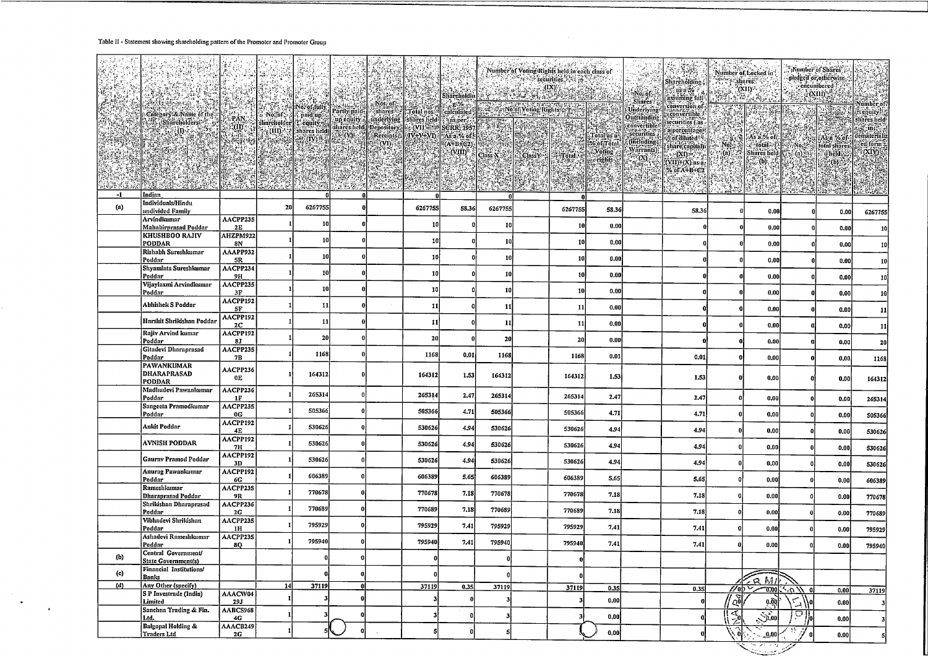#### Table II - Statement showing shareholding pattern of the Promoter and Promoter Group

 $\sim$   $\sim$ 

 $\sim 10$ 

|                   |                                                   |                        |    |         |     |              |       |          |              |         |          | 计调谐器<br>Shareholding ;                                                             | <b><i><i><u>Arry Histories?</u></i></i></b> | Number of Locked in                                                                                                                                                                                                              |                            | Number of Shares<br>pledged or otherwise.<br>concumbered ? |                                           |
|-------------------|---------------------------------------------------|------------------------|----|---------|-----|--------------|-------|----------|--------------|---------|----------|------------------------------------------------------------------------------------|---------------------------------------------|----------------------------------------------------------------------------------------------------------------------------------------------------------------------------------------------------------------------------------|----------------------------|------------------------------------------------------------|-------------------------------------------|
|                   |                                                   |                        |    |         |     |              |       |          |              |         |          | $\mathbb{R}^n$ ns n $\mathscr{C}$ $\mathbb{R}$ .<br>assuming full<br>conversion of | XIII R                                      | "(NII)<br>Bilberta                                                                                                                                                                                                               |                            |                                                            | Number of                                 |
|                   |                                                   |                        |    |         |     |              |       |          |              |         |          | gconvertible J<br>securities (as-                                                  |                                             | 新西哥<br>an pean                                                                                                                                                                                                                   |                            |                                                            | ife equity.<br>shares held                |
|                   |                                                   |                        |    |         |     |              |       |          |              |         |          | apercentage)!<br><b>Coffdiluted</b>                                                |                                             | $\begin{array}{ c c c c }\n\hline\n\text{No} & \text{As a 96 of} & \text{or} & \text{No} & \text{No} \\ \hline\n\end{array}$                                                                                                     |                            | As a % of dematerializ                                     | $\mathbb{R}$ in $\mathbb{R}$<br>ed form : |
|                   |                                                   |                        |    |         |     |              |       |          |              |         |          | share capital)<br>.⊶(XI) = **.   *`<br>$(CID+(X))$ as a.                           | $\mathfrak{g}(\mathfrak{n})$                | Shares held                                                                                                                                                                                                                      | $\langle a \rangle$        | total shares<br><b><i><u>Fisherd</u></i></b><br>(0.70)     | $\langle \text{XIV} \rangle$ :            |
|                   |                                                   |                        |    |         |     |              |       |          |              |         |          | % of A+B+C2<br><u>ISAWA</u>                                                        |                                             | a serie de la provincia de la provincia del proporcione del proporcione del proporcione del proporcione del pr<br>Del proporcione del proporcione del proporcione del proporcione del proporcione del proporcione del proporcion |                            |                                                            |                                           |
| -1                | Indian                                            | <b>Constitution</b>    |    |         | -0. |              |       |          | 0            | er Stær | the West |                                                                                    |                                             |                                                                                                                                                                                                                                  |                            |                                                            |                                           |
| $\left( a\right)$ | Individuals/Hindu<br>undivided Family             |                        | 20 | 6267755 |     | 6267755      | 58,36 | 6267755  | 6267755      | 58.36   |          | 58.36                                                                              |                                             | 0.00                                                                                                                                                                                                                             |                            | 0.00                                                       | 6267755                                   |
|                   | Arvindkumar<br>Mahabirprasad Poddar               | AACPP235<br>2E         |    | 10      |     | 10           |       | 10       | 10           | 0.00    |          |                                                                                    |                                             | 0.00                                                                                                                                                                                                                             |                            | 0.00                                                       | 10                                        |
|                   | <b>KHUSHBOO RAJIV</b><br>PODDAR                   | AHZPM922<br>8N         |    | 10      |     | 10           |       | 10       | 10           | 0.00    |          |                                                                                    |                                             | 0,00                                                                                                                                                                                                                             |                            | 0.00                                                       | 10                                        |
|                   | Rishabh Sureshkumar<br>Poddar                     | AAAPP932<br>5R         |    | 10      |     | -10          |       | 10       | 10           | 0.00    |          |                                                                                    |                                             | 0.00                                                                                                                                                                                                                             |                            | 0.00                                                       | 10                                        |
|                   | Slıyamlata Sureshkumar<br>Poddar                  | AACPP234<br>9H         |    | 10      |     | 10           |       | 10       | 10           | 0.00    |          |                                                                                    |                                             | 0.00                                                                                                                                                                                                                             |                            | 0.00                                                       | 10                                        |
|                   | Vijaylaxmi Arvindkumar<br>Poddar                  | AACPP235<br>3F         |    | 10      |     | 10           |       | 10       | 10           | 0.00    |          |                                                                                    |                                             | 0.00                                                                                                                                                                                                                             |                            | 0.00                                                       | 10                                        |
|                   | Abhishek S Poddar                                 | AACPP192<br>5F         |    | 11      |     | 11           |       | 11       | 11           | 0.00    |          |                                                                                    | 0                                           | 0.00                                                                                                                                                                                                                             |                            | 0.00                                                       | 11                                        |
|                   | Harshit Shrikishan Poddar                         | AACPP192<br>2C         |    | 11      |     | 11           |       | 11       | 11           | 0.00    |          |                                                                                    | $\mathbf 0$                                 | 0,00                                                                                                                                                                                                                             |                            | 0.00                                                       | 11                                        |
|                   | Rajiv Arvind kumar<br>Poddar                      | AACPP192<br>8J         |    | 20      |     | 20           |       | 20       | 20           | 0.00    |          |                                                                                    | $\mathbf 0$                                 | 0.00                                                                                                                                                                                                                             |                            | 0.00                                                       | 20                                        |
|                   | Gitadevi Dharaprasad<br>Poddar                    | AACPP235<br>7B         |    | 1168    |     | 1168         | 0.01  | 1168     | 1168         | 0.01    |          | 0.01                                                                               | $\mathbf{a}$                                | 0.00                                                                                                                                                                                                                             |                            | 0.00                                                       | 1168                                      |
|                   | PAWANKUMAR<br><b>DHARAPRASAD</b><br>PODDAR        | AACPP236<br>0E         |    | 164312  |     | 164312       | 1.53  | 164312   | 164312       | 1.53    |          | 1.53                                                                               | $\mathbf 0$                                 | 0.00                                                                                                                                                                                                                             |                            | 0.00                                                       | 164312                                    |
|                   | Madhudevi Pawankumar<br>Poddar                    | AACPP236<br>1F         |    | 265314  |     | 265314       | 2.47  | 265314   | 265314       | 2.47    |          | 2.47                                                                               | 0                                           | 0.00                                                                                                                                                                                                                             |                            | 0,00                                                       | 265314                                    |
|                   | Sangeeta Pramodkumar<br>Poddar                    | AACPP235<br>0G         |    | 505366  |     | 505366       | 4.71  | 505366   | 505366       | 4.71    |          | 4.71                                                                               | 0                                           | 0.00                                                                                                                                                                                                                             |                            | 0.00                                                       | 505366                                    |
|                   | Ankit Poddar                                      | AACPP192<br>4E         |    | 530626  |     | 530626       | 4.94  | 530626   | 530626       | 4.94    |          | 4.94                                                                               | $\bf{0}$                                    | 0.00                                                                                                                                                                                                                             |                            | 0.00                                                       | 530626                                    |
|                   | AVNISH PODDAR                                     | AACPP192<br>7H         |    | 530626  |     | 530626       | 4.94  | 530626   | 530626       | 4.94    |          | 4.94                                                                               |                                             | 0.00                                                                                                                                                                                                                             |                            | 0.00                                                       | 530626                                    |
|                   | <b>Gaurav Pramod Poddar</b>                       | AACPP192<br>3D         |    | 530626  |     | 530626       | 4.94  | 530626   | 530626       | 4.94    |          | 4.94                                                                               |                                             | 0.00                                                                                                                                                                                                                             |                            | 0.00                                                       | 530626                                    |
|                   | Anurag Pawankumar<br>Poddar                       | AACPP192<br>6G         |    | 606389  |     | 606389       | 5.65  | 606389   | 606389       | 5.65    |          | 5.65                                                                               |                                             | 0.00                                                                                                                                                                                                                             |                            | 0.00                                                       | 606389                                    |
|                   | Rameshkumar<br>Dharaprasad Poddar                 | AACPP235<br>9R         |    | 770678  |     | 770678       | 7.18  | 770678   | 770678       | 7.18    |          | 7.18                                                                               |                                             | 0.00                                                                                                                                                                                                                             |                            | 0.00                                                       | 770678                                    |
|                   | Shrikishan Dharaprasad<br>Poddar                  | AACPP236<br>2G         |    | 770689  |     | 770689       | 7.18  | 770689   | 770689       | 7.18    |          | 7.18                                                                               |                                             | 0,00                                                                                                                                                                                                                             |                            | 0.00                                                       | 770689                                    |
|                   | Vibhadevi Shrikishan<br>Poddar                    | AACPP235<br>1H         |    | 795929  |     | 795929       | 7.41  | 795929   | 795929       | 7.41    |          | 7.41                                                                               |                                             | 0,00                                                                                                                                                                                                                             |                            | 0.00                                                       | 795929                                    |
|                   | Ashadevi Rameshkumar<br>Poddar                    | AACPP235<br><b>8Q</b>  |    | 795940  |     | 795940       | 7.41  | 795940   | 795940       | 7.41    |          | 7.41                                                                               |                                             | 0.00                                                                                                                                                                                                                             |                            | 0.00                                                       | 795940                                    |
| (b)               | Central Government/<br><b>State Government(s)</b> |                        |    | 0       | 0   | $\mathbf{0}$ |       | $\Omega$ | $\mathbf{0}$ |         |          |                                                                                    |                                             |                                                                                                                                                                                                                                  |                            |                                                            |                                           |
| (c)               | Financial Institutions/<br>Banks                  |                        |    |         |     |              |       | O        |              |         |          |                                                                                    |                                             | $\approx$ MI                                                                                                                                                                                                                     |                            |                                                            |                                           |
| (d)               | Any Other (specify)<br>S P Investrade (India)     | AAACW04                | 14 | 37119   |     | 37119        | 0.35  | 37119    | 37119        | 0.35    |          | 0.35                                                                               |                                             | $7/00 \sqrt{2000}$                                                                                                                                                                                                               | $\mu$ or $\lambda$<br>- ol | 0.00                                                       | 37119                                     |
|                   | Limited<br>Sanchna Trading & Fin.                 | <b>29J</b><br>AABCS968 |    |         |     |              |       | 3        | 3            | 0.00    |          |                                                                                    | $\frac{1}{2}$                               | $6\tilde{6}$                                                                                                                                                                                                                     | $\mathcal{L}$<br>∕∤•       | 0.00                                                       |                                           |
|                   | Ltd.<br>Balgopal Holding &                        | 4G<br>AAACB249         |    |         |     |              |       | -3       |              | 0.00    |          |                                                                                    | <u> [বূ</u>                                 | $\mathbb{S}^{30}$                                                                                                                                                                                                                | <u>்∦</u>                  | 0.00                                                       |                                           |
|                   | <b>Traders Ltd</b>                                | 2G                     |    |         |     |              |       |          |              | 0.00    |          |                                                                                    |                                             | .0.00                                                                                                                                                                                                                            |                            | 0.00                                                       |                                           |
|                   |                                                   |                        |    |         |     |              |       |          |              |         |          |                                                                                    |                                             |                                                                                                                                                                                                                                  |                            |                                                            |                                           |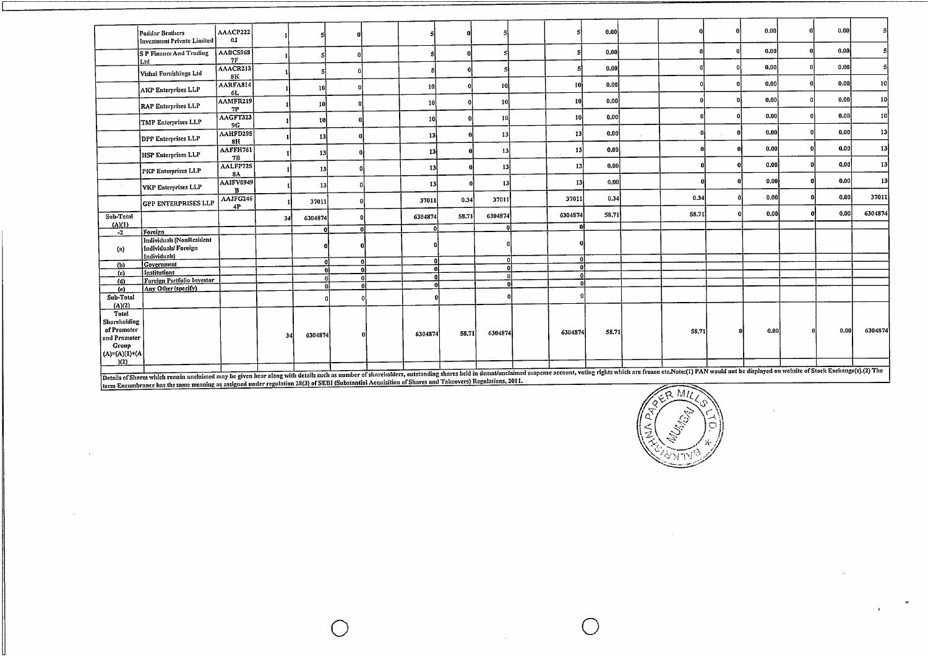|                     | Poddar Brothers<br>Investment Private Limited                                                                                                                                                                                  | AAACP222<br>0.1 |    |           |          |    |         |       |                     |                         | 0.00  |       |    | 0.00 | 0.00 |         |
|---------------------|--------------------------------------------------------------------------------------------------------------------------------------------------------------------------------------------------------------------------------|-----------------|----|-----------|----------|----|---------|-------|---------------------|-------------------------|-------|-------|----|------|------|---------|
|                     | S P Finance And Trading<br>Ltd                                                                                                                                                                                                 | AABCS968<br>7F  |    |           |          |    |         |       |                     |                         | 0.00  |       | n. | 0.00 | 0.00 |         |
|                     | Vishal Furnishings Ltd                                                                                                                                                                                                         | AAACR213<br>8K  |    |           |          |    |         |       |                     |                         | 0.00  |       |    | 0.00 | 0,00 |         |
|                     | <b>AKP Enterprises LLP</b>                                                                                                                                                                                                     | AARFA814<br>6L  |    | 10        |          |    | 10      |       | 10                  | 10                      | 0.00  |       |    | 0.00 | 0.00 | 10      |
|                     | RAP Enterprises LLP                                                                                                                                                                                                            | AAMFR219<br>7P  |    | <b>10</b> |          |    | 10      |       | <b>10</b>           | 10                      | 0.00  |       |    | 0.00 | 0.00 | 10      |
|                     | TMP Enterprises LLP                                                                                                                                                                                                            | AAGFT323<br>9G  |    | 10        |          |    | 10      |       | 10                  | 10                      | 0.00  |       |    | 0.00 | 0.00 | 10      |
|                     | DPP Enterprises LLP                                                                                                                                                                                                            | AAHFD295<br>8H  |    | 13        |          |    | 13      |       | 13                  | 13                      | 0.00  |       |    | 0,00 | 0.00 | 13      |
|                     | <b>HSP Enterprises LLP</b>                                                                                                                                                                                                     | AAFFH761<br>7B  |    | 13        |          |    | 13      |       | $13$                | 13                      | 0,00  |       |    | 0.00 | 0.00 | 13      |
|                     | PKP Enterprises LLP                                                                                                                                                                                                            | AALFP725<br>8A  |    | 13        |          |    | 13      |       | 13                  | 13 <sup>1</sup>         | 0.00  |       |    | 0.00 | 0.00 | 13      |
|                     | <b>VKP Enterprises LLP</b>                                                                                                                                                                                                     | AAIFV0949<br>R  |    | 13        |          |    | 13      |       | 13                  | 13                      | 0,00  |       |    | 0.00 | 0,00 | 13      |
|                     | <b>GPP ENTERPRISES LLP</b>                                                                                                                                                                                                     | AAJFG246<br>4P  |    | 37011     |          |    | 37011   | 0.34  | 37011               | 37011                   | 0.34  | 0,34  |    | 0.00 | 0.00 | 37011   |
| Sub-Total<br>(A)(1) |                                                                                                                                                                                                                                |                 | 34 | 6304874   |          |    | 6304874 | 58.71 | 6304874<br>$\Omega$ | 6304874<br>$\mathbf{0}$ | 58,71 | 58.71 |    | 0,00 | 0,00 | 6304874 |
| $-2$                | Foreign                                                                                                                                                                                                                        |                 |    | n'        |          |    |         |       |                     |                         |       |       |    |      |      |         |
| (a)                 | Individuals (NonResident<br>Individuals/Foreign<br>Individuals)                                                                                                                                                                |                 |    |           |          |    |         |       |                     |                         |       |       |    |      |      |         |
| (b)                 | Government                                                                                                                                                                                                                     |                 |    | $\Omega$  |          | ٥l | n١      |       |                     | $\mathbf{u}$            |       |       |    |      |      |         |
| (c)                 | <b>Institutions</b>                                                                                                                                                                                                            |                 |    | -ni       | n        |    | กเ      |       |                     | $\mathbf{a}$            |       |       |    |      |      |         |
| (d)                 | Foreign Portfolio Investor                                                                                                                                                                                                     |                 |    |           |          |    |         |       |                     | $\mathbf{a}$            |       |       |    |      |      |         |
| (e)                 | Any Other (specify)                                                                                                                                                                                                            |                 |    |           | $\bf{0}$ |    |         |       |                     | $\mathbf{r}$            |       |       |    |      |      |         |
| Sub-Total<br>(A)(2) |                                                                                                                                                                                                                                |                 |    |           |          |    |         |       |                     |                         |       |       |    |      |      |         |
| Total               |                                                                                                                                                                                                                                |                 |    |           |          |    |         |       |                     |                         |       |       |    |      |      |         |
| Shareholding        |                                                                                                                                                                                                                                |                 |    |           |          |    |         |       |                     |                         |       |       |    |      |      |         |
| of Promoter         |                                                                                                                                                                                                                                |                 |    |           |          |    |         | 58.71 | 6304874             | 6304874                 | 58.71 | 58.71 | 0  | 0.00 | 0.00 | 6304874 |
| and Promoter        |                                                                                                                                                                                                                                |                 | 34 | 6304874   |          |    | 6304874 |       |                     |                         |       |       |    |      |      |         |
| Group               |                                                                                                                                                                                                                                |                 |    |           |          |    |         |       |                     |                         |       |       |    |      |      |         |
| $(A)=(A)(1)+(A)$    |                                                                                                                                                                                                                                |                 |    |           |          |    |         |       |                     |                         |       |       |    |      |      |         |
| (2)                 |                                                                                                                                                                                                                                |                 |    |           |          |    |         |       |                     |                         |       |       |    |      |      |         |
|                     | Details of Shares which remain unclaimed may be given hear along with details such as number of shareholders, outstanding shares held in demat/unclaimed suspense account, voting rights which are frozen etc.Note:(1) PAN wou |                 |    |           |          |    |         |       |                     |                         |       |       |    |      |      |         |
|                     |                                                                                                                                                                                                                                |                 |    |           |          |    |         |       |                     |                         |       |       |    |      |      |         |

0 0

Details of Shares which remain unclaimed may be given hear along with details such as number of shareholders, outstanding shares hed in definitional mask.<br>term Encumbrance has the same meaning as assigned under regulation

 $\sim$ 



 $\bar{z}$ 

 $\bullet$ 

 $\ddot{\phantom{1}}$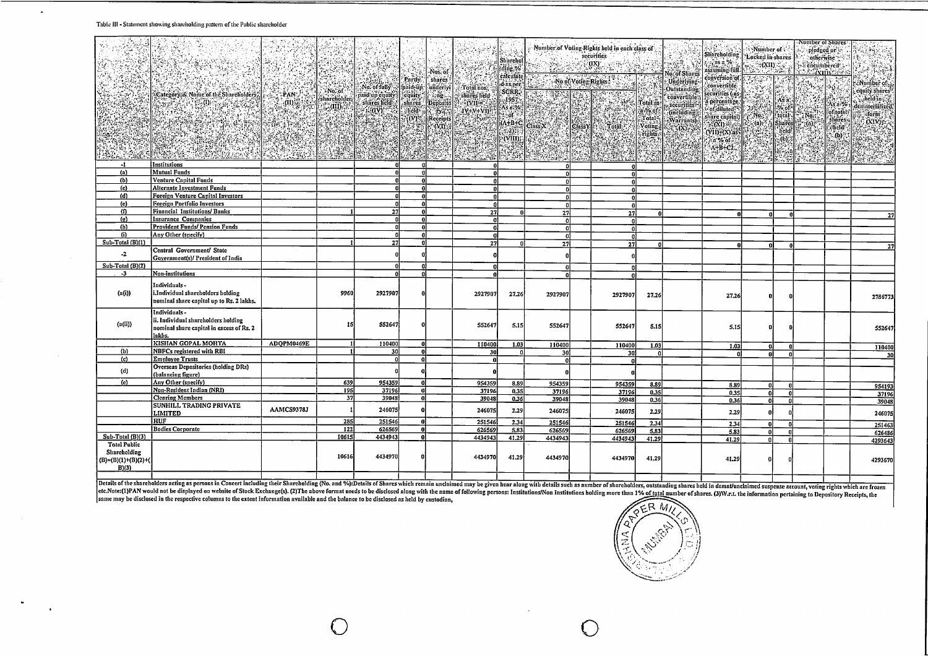#### **Table <sup>111</sup> · Statement showing shareholding pattern ofthe Public shareholder**

 $\ddot{\phantom{a}}$ 

|                                                     |                                                                                                           |                    | [7.31, 769, 4]   |                                                                                                                                                                                                                                                                                                                                                                                                                                                       |                                                      | Nos. of                                                                         |                                                                                | Stinrehol<br>jding %<br>calculate                                                                                                |                | Number of Voting Rights held in each class of<br>securities<br>$\begin{tabular}{ c c c c } \hline & \textbf{02} & \textbf{03} & \textbf{05} \\ \hline \end{tabular}$ |                                      | No. of Shares                                                                | Shareholding<br>Ans a %<br>assuming full.<br>conversion of                       | - Number of<br>Locked in shares   | $\sum_{i=1}^{n}$ $(XII)$                                                                | Number of Stiares:                                   | pledged or $v$<br>otherwise?<br>encumbered : -<br><b>Allamines</b>                                                                                                                      | $\frac{1}{2}$<br>공부<br>ét pag                                                                                 |
|-----------------------------------------------------|-----------------------------------------------------------------------------------------------------------|--------------------|------------------|-------------------------------------------------------------------------------------------------------------------------------------------------------------------------------------------------------------------------------------------------------------------------------------------------------------------------------------------------------------------------------------------------------------------------------------------------------|------------------------------------------------------|---------------------------------------------------------------------------------|--------------------------------------------------------------------------------|----------------------------------------------------------------------------------------------------------------------------------|----------------|----------------------------------------------------------------------------------------------------------------------------------------------------------------------|--------------------------------------|------------------------------------------------------------------------------|----------------------------------------------------------------------------------|-----------------------------------|-----------------------------------------------------------------------------------------|------------------------------------------------------|-----------------------------------------------------------------------------------------------------------------------------------------------------------------------------------------|---------------------------------------------------------------------------------------------------------------|
|                                                     | Category & Name of the Shareliolders?<br><b>SANCE OF SALE</b>                                             | -PAN:<br>្តាយផ្លុះ | $N$ o. of $\sim$ | Reger<br>$\mathbb{N}$ No. of fully $\mathbb{N}$<br>$\begin{minipage}{0.9\linewidth} \textbf{N} & \textbf{0.6} & \textbf{0.6} & \textbf{0.6} & \textbf{0.6} \\ \textbf{0.6} & \textbf{0.6} & \textbf{0.6} & \textbf{0.6} & \textbf{0.7} \\ \textbf{0.7} & \textbf{0.7} & \textbf{0.7} & \textbf{0.8} & \textbf{0.8} \\ \textbf{0.8} & \textbf{0.8} & \textbf{0.8} & \textbf{0.8} & \textbf{0.9} \\ \textbf{0.9} & \textbf{0.8} & \textbf{0.8} & \text$ | Partly,<br>fphid-up.<br>lequity<br>slinres<br>"held" | shares?<br>underlyi<br>$\sim$ no.<br>Deposito<br>$\frac{1}{2}$ of $\frac{1}{2}$ | Total nos.<br>shares held<br>$\mathbb{R}$ . (vii $\in \mathbb{C}$<br>$IY+V+VI$ | d as per<br>SCRR.<br>$-1957.$<br>As a %<br>$t$ of $\sim$                                                                         | <u>rtik</u>    | $\begin{tabular}{c} No of Voting Rights 1 & 1 & 1 \\ \hline 0 & 0 & 1 \\ \hline \end{tabular}$                                                                       | S.<br>Total as<br>a.% of             | Underlying<br><b>Outstanding</b><br>convertible<br>securities<br>(including) | convertible<br>securities (as:<br>a percentage.<br>cofidiluted."                 | <b>SALE</b>                       | BH<br>$\begin{vmatrix} \lambda_{\text{S}} \\ \lambda_{\text{C}} \end{vmatrix}$<br>total |                                                      | Ä<br>As n%<br>cof <sub>itotal</sub> :                                                                                                                                                   | : Number of<br>[ equity shares ]<br>$\therefore$ held in $\therefore$<br>dematerialized<br>iform <sup>?</sup> |
|                                                     |                                                                                                           |                    |                  |                                                                                                                                                                                                                                                                                                                                                                                                                                                       |                                                      |                                                                                 |                                                                                | $\frac{(A+B+C)}{(2)}$<br>(VIII);<br>$\label{eq:4} \mathcal{H}_{\mathcal{E}}(\mathbf{y}) = \mathcal{H}_{\mathcal{E}}(\mathbf{y})$ | 854<br>$-1.72$ | 28                                                                                                                                                                   | Totals<br>Voting<br>rights.<br>an Si | .<br>Warrants)                                                               | sliare capital)<br>微的点子<br>$(V(1))+(X)$ as<br>$\ln 26$ of $\sqrt{ }$<br>$A+B+C2$ | $\sim$ No.<br>$\rightarrow$ (a)). | Shares<br>held<br>$\ddot{\omega}$                                                       | $\frac{1}{2}$ , No.<br>$\alpha_{\rm{sp}}^{\rm{max}}$ | $\frac{1}{2}$<br>$\frac{1}{2}$<br>$\frac{1}{2}$<br>$\frac{1}{2}$<br>$\frac{1}{2}$<br>$\frac{1}{2}$<br>$\frac{1}{2}$<br>$\frac{1}{2}$<br>$\frac{1}{2}$<br>$\frac{1}{2}$<br>$\frac{1}{2}$ | (XIV)<br>$\mathcal{L}^{(1)}$ , $\mathcal{L}^{(2)}$<br>hin.                                                    |
|                                                     |                                                                                                           |                    |                  |                                                                                                                                                                                                                                                                                                                                                                                                                                                       |                                                      |                                                                                 |                                                                                | القيري                                                                                                                           |                |                                                                                                                                                                      |                                      |                                                                              | $\mathcal{P}^{\mathcal{U}}$                                                      |                                   |                                                                                         |                                                      |                                                                                                                                                                                         |                                                                                                               |
| $-1$<br>(n)                                         | Institutions<br><b>Mutual Funds</b>                                                                       |                    |                  | n                                                                                                                                                                                                                                                                                                                                                                                                                                                     | o<br>$\Omega$                                        |                                                                                 | $\mathbf{a}$                                                                   |                                                                                                                                  |                |                                                                                                                                                                      |                                      |                                                                              |                                                                                  |                                   |                                                                                         |                                                      |                                                                                                                                                                                         |                                                                                                               |
| (b)                                                 | <b>Venture Capital Funds</b>                                                                              |                    |                  |                                                                                                                                                                                                                                                                                                                                                                                                                                                       |                                                      |                                                                                 |                                                                                |                                                                                                                                  | n<br>n.        |                                                                                                                                                                      |                                      |                                                                              |                                                                                  |                                   |                                                                                         |                                                      |                                                                                                                                                                                         |                                                                                                               |
| (e)                                                 | <b>Alternate Investment Funds</b>                                                                         |                    |                  |                                                                                                                                                                                                                                                                                                                                                                                                                                                       | $\mathbf{a}$                                         |                                                                                 |                                                                                |                                                                                                                                  | n.             | O                                                                                                                                                                    |                                      |                                                                              |                                                                                  |                                   |                                                                                         |                                                      |                                                                                                                                                                                         |                                                                                                               |
| (d)                                                 | <b>Foreign Venture Capital Investors</b>                                                                  |                    |                  | n                                                                                                                                                                                                                                                                                                                                                                                                                                                     | $\mathbf{0}$                                         |                                                                                 |                                                                                |                                                                                                                                  | n.             |                                                                                                                                                                      |                                      |                                                                              |                                                                                  |                                   |                                                                                         |                                                      |                                                                                                                                                                                         |                                                                                                               |
| (e)                                                 | <b>Forcign Portfolio Investors</b>                                                                        |                    |                  | n                                                                                                                                                                                                                                                                                                                                                                                                                                                     | -0                                                   |                                                                                 | n                                                                              |                                                                                                                                  | -ol            | $\mathbf{0}$                                                                                                                                                         |                                      |                                                                              |                                                                                  |                                   |                                                                                         |                                                      |                                                                                                                                                                                         |                                                                                                               |
| (f)                                                 | Financial Institutions/ Banks                                                                             |                    |                  | 27                                                                                                                                                                                                                                                                                                                                                                                                                                                    | $\mathbf{0}$                                         |                                                                                 | 27                                                                             |                                                                                                                                  | 27             | 27                                                                                                                                                                   |                                      |                                                                              |                                                                                  |                                   |                                                                                         |                                                      |                                                                                                                                                                                         |                                                                                                               |
| (p)                                                 | <b>Insurance Companies</b>                                                                                |                    |                  | <sub>0</sub>                                                                                                                                                                                                                                                                                                                                                                                                                                          | $\mathbf{0}$                                         |                                                                                 | -a1                                                                            |                                                                                                                                  | -nl            | $\mathbf{a}$                                                                                                                                                         |                                      |                                                                              |                                                                                  |                                   |                                                                                         |                                                      |                                                                                                                                                                                         |                                                                                                               |
| (h)                                                 | Provident Funds/ Pension Funds                                                                            |                    |                  | n                                                                                                                                                                                                                                                                                                                                                                                                                                                     | $\mathbf 0$                                          |                                                                                 | $\mathbf{0}$                                                                   |                                                                                                                                  | ٥l             | $\mathbf{a}$                                                                                                                                                         |                                      |                                                                              |                                                                                  |                                   |                                                                                         |                                                      |                                                                                                                                                                                         |                                                                                                               |
| (i)                                                 | Any Other (specify)                                                                                       |                    |                  | $\Omega$                                                                                                                                                                                                                                                                                                                                                                                                                                              | $\mathbf{a}$                                         |                                                                                 |                                                                                |                                                                                                                                  | 0.             | $\mathbf{a}$                                                                                                                                                         |                                      |                                                                              |                                                                                  |                                   |                                                                                         |                                                      |                                                                                                                                                                                         |                                                                                                               |
| Sub-Total (B)(1)                                    |                                                                                                           |                    |                  | 27                                                                                                                                                                                                                                                                                                                                                                                                                                                    | $\mathbf{0}$                                         |                                                                                 | $\overline{27}$                                                                |                                                                                                                                  | 27             | $\overline{27}$                                                                                                                                                      |                                      |                                                                              |                                                                                  |                                   |                                                                                         |                                                      |                                                                                                                                                                                         | 27                                                                                                            |
| $-2$                                                | Central Government/ State                                                                                 |                    |                  |                                                                                                                                                                                                                                                                                                                                                                                                                                                       | O                                                    |                                                                                 |                                                                                |                                                                                                                                  |                |                                                                                                                                                                      |                                      |                                                                              |                                                                                  |                                   |                                                                                         |                                                      |                                                                                                                                                                                         |                                                                                                               |
| Sub-Total (B)(2)                                    | Government(s)/ President of India                                                                         |                    |                  |                                                                                                                                                                                                                                                                                                                                                                                                                                                       |                                                      |                                                                                 |                                                                                |                                                                                                                                  |                |                                                                                                                                                                      |                                      |                                                                              |                                                                                  |                                   |                                                                                         |                                                      |                                                                                                                                                                                         |                                                                                                               |
| $-3$                                                | Non-institutions                                                                                          |                    |                  | A                                                                                                                                                                                                                                                                                                                                                                                                                                                     | $\mathbf{0}$                                         |                                                                                 |                                                                                |                                                                                                                                  | n.             | n                                                                                                                                                                    |                                      |                                                                              |                                                                                  |                                   |                                                                                         |                                                      |                                                                                                                                                                                         |                                                                                                               |
|                                                     |                                                                                                           |                    |                  |                                                                                                                                                                                                                                                                                                                                                                                                                                                       |                                                      |                                                                                 |                                                                                |                                                                                                                                  | -nl            | n                                                                                                                                                                    |                                      |                                                                              |                                                                                  |                                   |                                                                                         |                                                      |                                                                                                                                                                                         |                                                                                                               |
| (a(i))                                              | Individuals-<br>i.Individual shareholders holding<br>nominal share capital up to Rs. 2 lakhs.             |                    | 9960             | 2927907                                                                                                                                                                                                                                                                                                                                                                                                                                               |                                                      |                                                                                 | 2927907                                                                        | 27.26                                                                                                                            | 2927907        | 2927907                                                                                                                                                              | 27.26                                |                                                                              | 27.26                                                                            |                                   |                                                                                         |                                                      |                                                                                                                                                                                         | 2786773                                                                                                       |
| (n(ii))                                             | Individuals-<br>ii. Individual shareholders holding<br>nominal share capital in excess of Rs. 2<br>lakhs. |                    | 15               | 552647                                                                                                                                                                                                                                                                                                                                                                                                                                                |                                                      |                                                                                 | 552647                                                                         | 5.15                                                                                                                             | 552647         | 552647                                                                                                                                                               | 5.15                                 |                                                                              | 5,15                                                                             |                                   |                                                                                         |                                                      |                                                                                                                                                                                         | 552647                                                                                                        |
|                                                     | <b>KISHAN GOPAL MOHTA</b>                                                                                 | ADOPM0469E         |                  | 110400                                                                                                                                                                                                                                                                                                                                                                                                                                                | -O.                                                  |                                                                                 | 110400                                                                         | 1.03                                                                                                                             | 110400         | 110400                                                                                                                                                               | 1.03                                 |                                                                              | 1.03                                                                             |                                   |                                                                                         |                                                      |                                                                                                                                                                                         | 110400                                                                                                        |
| (b)<br>(c)                                          | NBFCs registered with RBI<br><b>Employee Trusts</b>                                                       |                    |                  | 30                                                                                                                                                                                                                                                                                                                                                                                                                                                    | -n.                                                  |                                                                                 | 30                                                                             |                                                                                                                                  | 30             | 30                                                                                                                                                                   | -0                                   |                                                                              | ΩI                                                                               | ΩI                                |                                                                                         |                                                      |                                                                                                                                                                                         | 30                                                                                                            |
|                                                     | Overseas Depositories (holding DRs)                                                                       |                    |                  | $\mathbf{0}$                                                                                                                                                                                                                                                                                                                                                                                                                                          | -ö1                                                  |                                                                                 | 0l                                                                             |                                                                                                                                  | n١             | $\Omega$                                                                                                                                                             |                                      |                                                                              |                                                                                  |                                   |                                                                                         |                                                      |                                                                                                                                                                                         |                                                                                                               |
| (d)                                                 | (balancing figure)                                                                                        |                    |                  |                                                                                                                                                                                                                                                                                                                                                                                                                                                       |                                                      |                                                                                 |                                                                                |                                                                                                                                  |                |                                                                                                                                                                      |                                      |                                                                              |                                                                                  |                                   |                                                                                         |                                                      |                                                                                                                                                                                         |                                                                                                               |
| $\left($ e $\right)$                                | Any Other (specify)                                                                                       |                    | 639              | 954359                                                                                                                                                                                                                                                                                                                                                                                                                                                | -ni                                                  |                                                                                 | 954359                                                                         | 8.89                                                                                                                             | 954359         | 954359                                                                                                                                                               | 8.89                                 |                                                                              |                                                                                  |                                   |                                                                                         |                                                      |                                                                                                                                                                                         |                                                                                                               |
|                                                     | Non-Resident Indian (NRI)                                                                                 |                    | 195              | 37196                                                                                                                                                                                                                                                                                                                                                                                                                                                 | $\Omega$                                             |                                                                                 | 37196                                                                          | 0.35                                                                                                                             | 37196          | 37196                                                                                                                                                                | 0.35                                 |                                                                              | 8.89<br>0.35                                                                     | กเ                                |                                                                                         |                                                      |                                                                                                                                                                                         | 954193                                                                                                        |
|                                                     | <b>Clearing Members</b>                                                                                   |                    | 37               | 39048                                                                                                                                                                                                                                                                                                                                                                                                                                                 | 0l                                                   |                                                                                 | 39048                                                                          | 0.36                                                                                                                             | 39048          | 39048                                                                                                                                                                | 0.36                                 |                                                                              | 0.36                                                                             | Ωľ                                |                                                                                         |                                                      |                                                                                                                                                                                         | 37196                                                                                                         |
|                                                     | <b>SUNHILL TRADING PRIVATE</b><br>LIMITED                                                                 | AAMCS9378J         |                  | 246075                                                                                                                                                                                                                                                                                                                                                                                                                                                |                                                      |                                                                                 | 246075                                                                         | 2.29                                                                                                                             | 246075         | 246075                                                                                                                                                               | 2.29                                 |                                                                              | 2.29                                                                             |                                   |                                                                                         |                                                      |                                                                                                                                                                                         | 39048<br>246075                                                                                               |
|                                                     | HUF                                                                                                       |                    | 285              | 251546                                                                                                                                                                                                                                                                                                                                                                                                                                                | $\mathbf{a}$                                         |                                                                                 | 251546                                                                         | 2.34                                                                                                                             | 251546         | 251546                                                                                                                                                               | 2.34                                 |                                                                              | 2.34                                                                             |                                   |                                                                                         |                                                      |                                                                                                                                                                                         | 251463                                                                                                        |
|                                                     | <b>Bodies Corporate</b>                                                                                   |                    | 122              | 626569                                                                                                                                                                                                                                                                                                                                                                                                                                                | -n.                                                  |                                                                                 | 626569                                                                         | 5,83                                                                                                                             | 626569         | 626569                                                                                                                                                               | 5,83                                 |                                                                              | 5.83                                                                             |                                   |                                                                                         |                                                      |                                                                                                                                                                                         | 626486                                                                                                        |
| Sub-Total (B)(3)<br><b>Total Public</b>             |                                                                                                           |                    | 10615            | 4434943                                                                                                                                                                                                                                                                                                                                                                                                                                               |                                                      |                                                                                 | 4434943                                                                        | 41.29                                                                                                                            | 4434943        | 4434943                                                                                                                                                              | 41.29                                |                                                                              | 41.29                                                                            | n                                 |                                                                                         |                                                      |                                                                                                                                                                                         | 4293643                                                                                                       |
| Shareholding<br>$(B)=(B)(1)+(B)(2)+(B)(B)$<br>B)(3) |                                                                                                           |                    | 10616            | 4434970                                                                                                                                                                                                                                                                                                                                                                                                                                               |                                                      |                                                                                 | 4434970                                                                        | 41.29                                                                                                                            | 4434970        | 4434970                                                                                                                                                              | 41.29                                |                                                                              | 41.29                                                                            |                                   |                                                                                         |                                                      |                                                                                                                                                                                         | 4293670                                                                                                       |

Details of the shareholders acting as persons in Concert including their Shareholding (No. and Sylver Receives considered as the discussion of the shareholders, containing a shareholders, constanding shares held in demarb

O

 $\left(\begin{smallmatrix} -1 \ 1 \ 1 \end{smallmatrix}\right)$ ,*»* **\**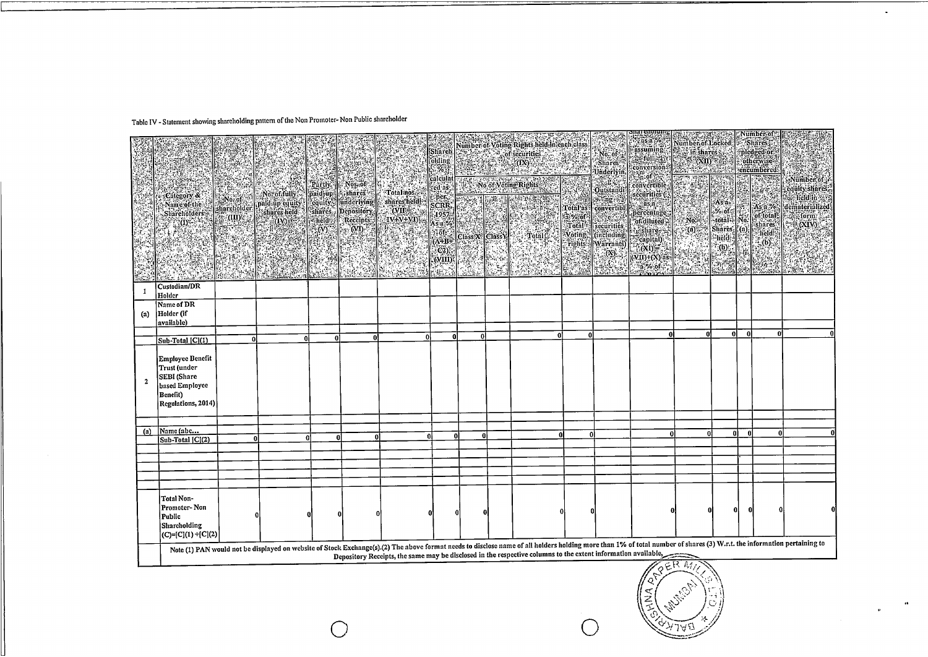# Table IV - Statement showing shareholding pattern of the Non Promoter-Non Public shareholder

|              | :Category &<br>Name of the<br><b>Shareholders</b><br>W. OF<br>SIAN                                                                                                                                                                                                                                                                                                             | $No$ of $\sim$<br>sharcholder | No. of fully<br>paid up equity<br>shares held<br><b>SERIONES</b> | Partly.<br>paid-up<br>$k$ held $k$<br>$\langle 0 \rangle$<br>S. | 48<br>Mos. of<br><b>A</b> shares<br>cquity lunderlying<br>shares Depository<br>Receipts:<br>$\sim$ (M) $\sim$ | Total nos.<br>shares held<br>(VII≣∴a<br>IV+V+VI) | <b>PASSE</b><br>[Sharch]<br>olding<br>N%<br>calculat<br> -ted.as<br>her.<br>SCRR,<br>1957<br>.<br>As a %<br><b>Slofe</b><br>$(\Lambda + B +$<br>$(C2)$ :<br>. (WIII)<br>ēm\ri |      | 924 | RESERVED FOR DESIGNATIONS<br>Number of Voting Rights held in each class<br><b>STAR STAR Of Securities</b><br>No of Voling Rights<br><b>图解 出版者</b><br>25 S | WA. | SNo, of<br>Underlyin,<br><b>BOOK</b><br>Outstandi<br> Total as    convertibl<br>  a % of    sales   <br>$\frac{1}{3}$ % of $\frac{1}{3}$ securities<br>Voting (including<br>rights Warrants)<br>W) | $\begin{tabular}{ c c } \hline \color{red} . & \color{red} . & \color{red} . & \color{red} . & \color{red} . \\ \hline \color{red} . & \color{red} . & \color{red} . & \color{red} . \\ \color{red} . & \color{red} . & \color{red} . & \color{red} . \\ \color{red} . & \color{red} . & \color{red} . & \color{red} . \\ \color{red} . & \color{red} . & \color{red} . & \color{red} . \\ \color{red} . & \color{red} . & \color{red} . & \color{red} . \\ \color{red} . & \color{red} . & \color{red} . & \color{red} .$<br>conversion:<br>$\mathbb{R}^n$ of $\mathbb{R}^n$<br>convertible,<br>securities (<br><b>Barnett</b><br>percentage:<br>of diluted<br>ashare - N<br>"capital)<br>$(0,0) = -1$<br>$($ VII)+ $(X)$ as $\cdot$<br>$a$ % of | Number of Locked<br>$3$ in shares $\tilde{g}$<br>$\left( \alpha \mathbf{u} \right)$<br><u> 2011 - 10</u><br>No.<br>් (බ)්<br>i. | $\frac{1}{\sqrt{2}}$<br>$\begin{bmatrix} As \; a \\ \sim & 0 \end{bmatrix}$<br>-total Mo.<br>$Sharcsi$ (a)<br>*hĕla∰<br>$*_{(b)}$<br>ela |          | :INUMDEE:01<br>Shares<br>pledged or<br>otherwise<br>rencumbered:<br>As a %<br>of total-<br>$\frac{1}{2}$ held $\frac{1}{2}$<br>$\mathbb{E}(\mathbf{b})$<br><u> Partiko</u> | -Number of :<br>equity shares.<br><b>Secheldin</b><br>dematerialized<br>form .<br>(XIV): |
|--------------|--------------------------------------------------------------------------------------------------------------------------------------------------------------------------------------------------------------------------------------------------------------------------------------------------------------------------------------------------------------------------------|-------------------------------|------------------------------------------------------------------|-----------------------------------------------------------------|---------------------------------------------------------------------------------------------------------------|--------------------------------------------------|-------------------------------------------------------------------------------------------------------------------------------------------------------------------------------|------|-----|-----------------------------------------------------------------------------------------------------------------------------------------------------------|-----|----------------------------------------------------------------------------------------------------------------------------------------------------------------------------------------------------|---------------------------------------------------------------------------------------------------------------------------------------------------------------------------------------------------------------------------------------------------------------------------------------------------------------------------------------------------------------------------------------------------------------------------------------------------------------------------------------------------------------------------------------------------------------------------------------------------------------------------------------------------------------------------------------------------------------------------------------------------|---------------------------------------------------------------------------------------------------------------------------------|------------------------------------------------------------------------------------------------------------------------------------------|----------|----------------------------------------------------------------------------------------------------------------------------------------------------------------------------|------------------------------------------------------------------------------------------|
|              | Custodian/DR<br>Holder                                                                                                                                                                                                                                                                                                                                                         |                               |                                                                  |                                                                 |                                                                                                               |                                                  |                                                                                                                                                                               |      |     |                                                                                                                                                           |     |                                                                                                                                                                                                    |                                                                                                                                                                                                                                                                                                                                                                                                                                                                                                                                                                                                                                                                                                                                                   |                                                                                                                                 |                                                                                                                                          |          |                                                                                                                                                                            |                                                                                          |
| (a)          | Name of DR<br>Holder (if<br>available)                                                                                                                                                                                                                                                                                                                                         |                               |                                                                  |                                                                 |                                                                                                               |                                                  |                                                                                                                                                                               |      |     |                                                                                                                                                           |     |                                                                                                                                                                                                    |                                                                                                                                                                                                                                                                                                                                                                                                                                                                                                                                                                                                                                                                                                                                                   |                                                                                                                                 |                                                                                                                                          |          |                                                                                                                                                                            |                                                                                          |
|              | $\sqrt{\text{Sub-Total}}$ $\sqrt{\text{Cl}(1)}$                                                                                                                                                                                                                                                                                                                                | $\Omega$                      | Ω                                                                | Ω                                                               | nl                                                                                                            | Ωİ                                               | ΩÌ                                                                                                                                                                            | - Ol |     |                                                                                                                                                           |     |                                                                                                                                                                                                    | ٨I                                                                                                                                                                                                                                                                                                                                                                                                                                                                                                                                                                                                                                                                                                                                                | <sub>0</sub>                                                                                                                    | 0l                                                                                                                                       | $\Omega$ | $\mathbf{0}$                                                                                                                                                               |                                                                                          |
| $\mathbf{z}$ | <b>Employee Benefit</b><br>Trust (under<br><b>SEBI</b> (Share<br>based Employee<br>Benefit)<br>Regulations, 2014)                                                                                                                                                                                                                                                              |                               |                                                                  |                                                                 |                                                                                                               |                                                  |                                                                                                                                                                               |      |     |                                                                                                                                                           |     |                                                                                                                                                                                                    |                                                                                                                                                                                                                                                                                                                                                                                                                                                                                                                                                                                                                                                                                                                                                   |                                                                                                                                 |                                                                                                                                          |          |                                                                                                                                                                            |                                                                                          |
|              |                                                                                                                                                                                                                                                                                                                                                                                |                               |                                                                  |                                                                 |                                                                                                               |                                                  |                                                                                                                                                                               |      |     |                                                                                                                                                           |     |                                                                                                                                                                                                    |                                                                                                                                                                                                                                                                                                                                                                                                                                                                                                                                                                                                                                                                                                                                                   |                                                                                                                                 |                                                                                                                                          |          |                                                                                                                                                                            |                                                                                          |
|              | $(a)$ Name (abc<br>Sub-Total [C](2)                                                                                                                                                                                                                                                                                                                                            |                               |                                                                  | Ωl                                                              | n                                                                                                             | O                                                | <b>n</b>                                                                                                                                                                      |      | 0   | 0                                                                                                                                                         | ΩI  |                                                                                                                                                                                                    |                                                                                                                                                                                                                                                                                                                                                                                                                                                                                                                                                                                                                                                                                                                                                   | ΩI<br>O                                                                                                                         | ۵I                                                                                                                                       | O        |                                                                                                                                                                            |                                                                                          |
|              |                                                                                                                                                                                                                                                                                                                                                                                |                               |                                                                  |                                                                 |                                                                                                               |                                                  |                                                                                                                                                                               |      |     |                                                                                                                                                           |     |                                                                                                                                                                                                    |                                                                                                                                                                                                                                                                                                                                                                                                                                                                                                                                                                                                                                                                                                                                                   |                                                                                                                                 |                                                                                                                                          |          |                                                                                                                                                                            |                                                                                          |
|              | Total Non-<br>Promoter-Non<br>Public<br>Shareholding<br> (C)=[C](1) +[C](2)                                                                                                                                                                                                                                                                                                    |                               |                                                                  |                                                                 |                                                                                                               |                                                  |                                                                                                                                                                               |      |     |                                                                                                                                                           |     |                                                                                                                                                                                                    |                                                                                                                                                                                                                                                                                                                                                                                                                                                                                                                                                                                                                                                                                                                                                   |                                                                                                                                 | $\Omega$                                                                                                                                 | O        |                                                                                                                                                                            |                                                                                          |
|              | Note (1) PAN would not be displayed on website of Stock Exchange(s).(2) The above format needs to disclose name of all holders holding more than 1% of total number of shares (3) W.r.t. the information pertaining to<br>Depository Receipts, the same may be disclosed in the respective columns to the extent information available,<br>$Z^{\prime}$ , $D^{\prime}$ and $N$ |                               |                                                                  |                                                                 |                                                                                                               |                                                  |                                                                                                                                                                               |      |     |                                                                                                                                                           |     |                                                                                                                                                                                                    |                                                                                                                                                                                                                                                                                                                                                                                                                                                                                                                                                                                                                                                                                                                                                   |                                                                                                                                 |                                                                                                                                          |          |                                                                                                                                                                            |                                                                                          |



 $\mathcal{A}$ 

 $\bullet$ 

 $\bullet$ 

and have a more and more on the the literature

0 0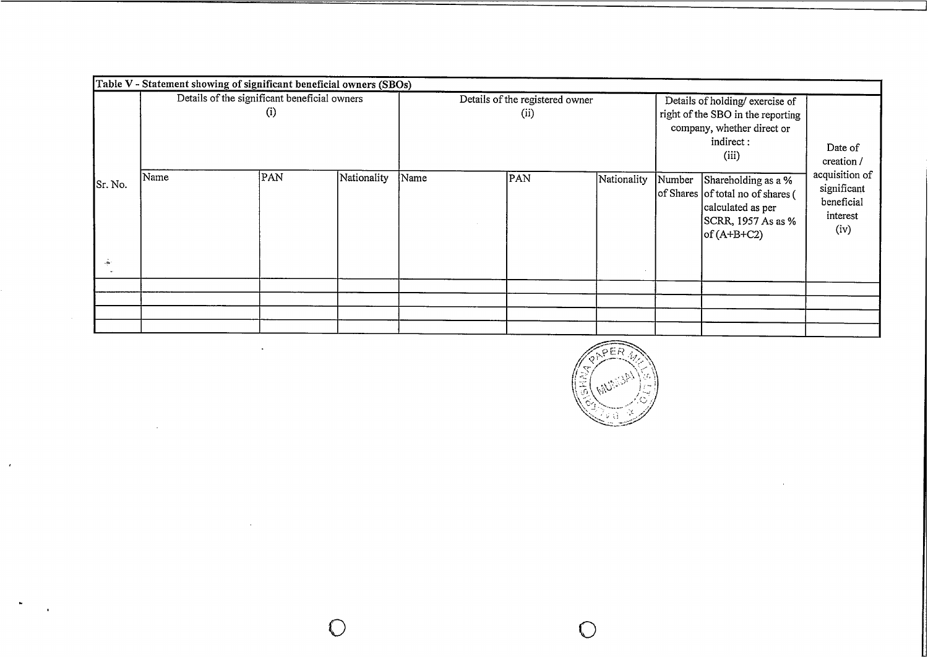|                         | Table V - Statement showing of significant beneficial owners (SBOs) |          |             |      |                                        |             |        |                                                                                                                          |                                                                 |
|-------------------------|---------------------------------------------------------------------|----------|-------------|------|----------------------------------------|-------------|--------|--------------------------------------------------------------------------------------------------------------------------|-----------------------------------------------------------------|
|                         | Details of the significant beneficial owners                        | $_{(1)}$ |             |      | Details of the registered owner<br>(i) |             |        | Details of holding/ exercise of<br>right of the SBO in the reporting<br>company, whether direct or<br>indirect:<br>(iii) | Date of<br>creation /                                           |
| Sr. No.<br>$\mathbf{a}$ | Name                                                                | PAN      | Nationality | Name | PAN                                    | Nationality | Number | Shareholding as a %<br>of Shares of total no of shares (<br>calculated as per<br>SCRR, 1957 As as %<br>$of (A+B+C2)$     | acquisition of<br>significant<br>beneficial<br>interest<br>(iv) |
|                         |                                                                     |          |             |      |                                        |             |        |                                                                                                                          |                                                                 |
|                         |                                                                     |          |             |      |                                        |             |        |                                                                                                                          |                                                                 |
|                         |                                                                     |          |             |      |                                        |             |        |                                                                                                                          |                                                                 |
|                         |                                                                     |          |             |      |                                        |             |        |                                                                                                                          |                                                                 |

 $\mathcal{A}$ 

 $\ddot{\phantom{1}}$ 

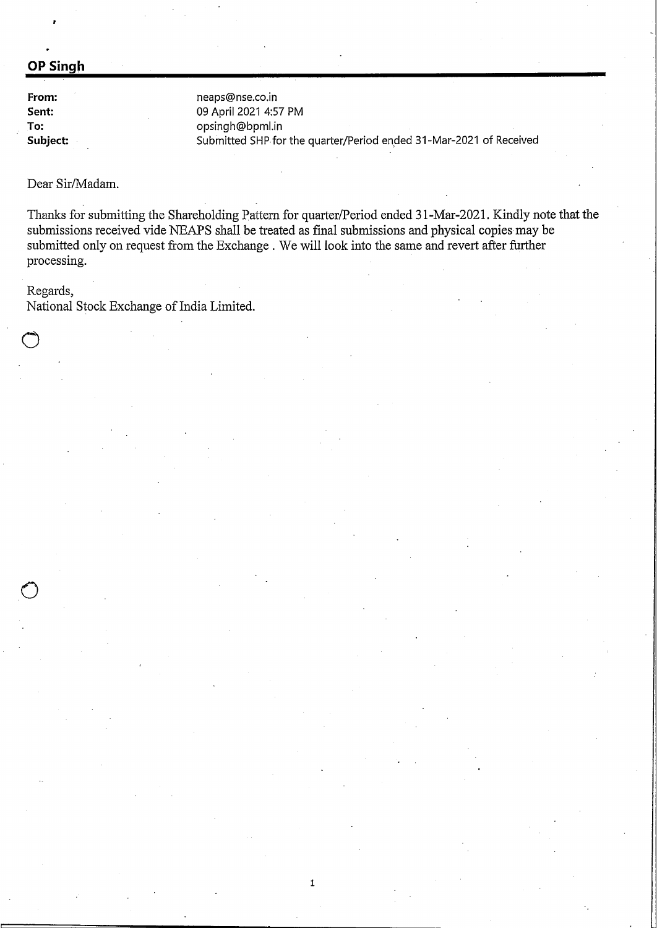### **OP Singh**

**From: Sent: To: Subject:** neaps@nse.co.in 09 April 2021 4:57 PM opsingh@bpml.in Submitted SHP for the quarter/Period ended 31-Mar-2021 of Received

Dear Sir/Madam.

Thanks for submitting the Shareholding Pattern for quarter/Period ended 31-Mar-2021. Kindly note that the submissions received vide NEAPS shall be treated as final submissions and physical copies may be submitted only on request from the Exchange. We will look into the same and revert after further processing.

1

#### Regards,

o

 $\bigcirc$ 

National Stock Exchange of India Limited.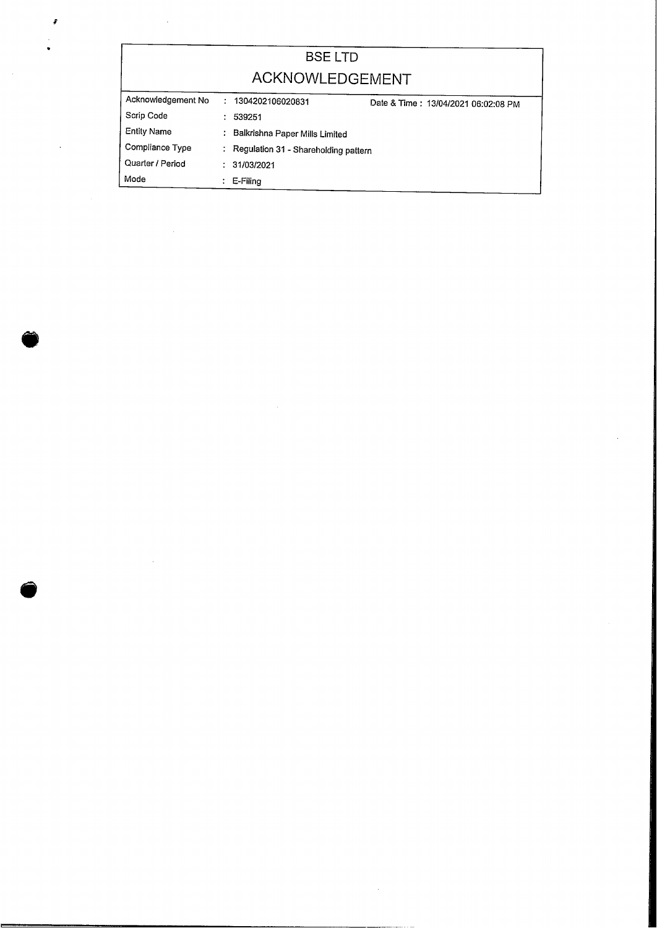| <b>BSELTD</b>      |   |                                      |                                     |  |  |  |  |  |  |  |
|--------------------|---|--------------------------------------|-------------------------------------|--|--|--|--|--|--|--|
| ACKNOWLEDGEMENT    |   |                                      |                                     |  |  |  |  |  |  |  |
| Acknowledgement No |   | : 1304202106020831                   | Date & Time: 13/04/2021 06:02:08 PM |  |  |  |  |  |  |  |
| Scrip Code         |   | 539251                               |                                     |  |  |  |  |  |  |  |
| <b>Entity Name</b> |   | : Balkrishna Paper Mills Limited     |                                     |  |  |  |  |  |  |  |
| Compliance Type    | ÷ | Regulation 31 - Shareholding pattern |                                     |  |  |  |  |  |  |  |
| Quarter / Period   |   | 31/03/2021                           |                                     |  |  |  |  |  |  |  |
| Mode               |   | E-Filing                             |                                     |  |  |  |  |  |  |  |

 $\bullet$ 

¥

@